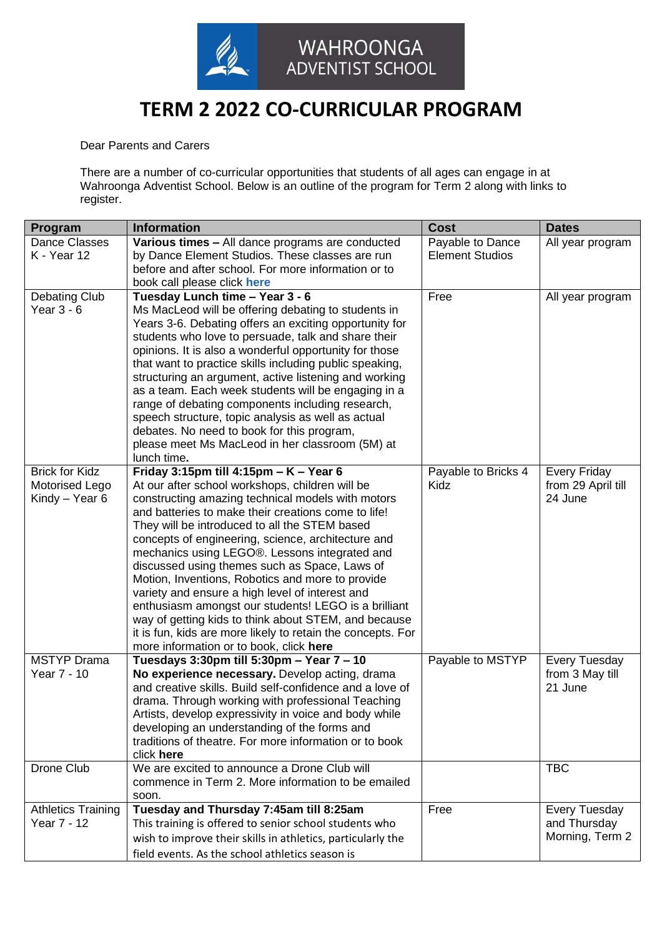

## **TERM 2 2022 CO-CURRICULAR PROGRAM**

Dear Parents and Carers

There are a number of co-curricular opportunities that students of all ages can engage in at Wahroonga Adventist School. Below is an outline of the program for Term 2 along with links to register.

| Program                   | <b>Information</b>                                                                                            | <b>Cost</b>            | <b>Dates</b>         |
|---------------------------|---------------------------------------------------------------------------------------------------------------|------------------------|----------------------|
| <b>Dance Classes</b>      | Various times - All dance programs are conducted                                                              | Payable to Dance       | All year program     |
| K - Year 12               | by Dance Element Studios. These classes are run                                                               | <b>Element Studios</b> |                      |
|                           | before and after school. For more information or to                                                           |                        |                      |
|                           | book call please click here                                                                                   |                        |                      |
| Debating Club             | Tuesday Lunch time - Year 3 - 6                                                                               | Free                   | All year program     |
| Year 3 - 6                | Ms MacLeod will be offering debating to students in                                                           |                        |                      |
|                           | Years 3-6. Debating offers an exciting opportunity for<br>students who love to persuade, talk and share their |                        |                      |
|                           | opinions. It is also a wonderful opportunity for those                                                        |                        |                      |
|                           | that want to practice skills including public speaking,                                                       |                        |                      |
|                           | structuring an argument, active listening and working                                                         |                        |                      |
|                           | as a team. Each week students will be engaging in a                                                           |                        |                      |
|                           | range of debating components including research,                                                              |                        |                      |
|                           | speech structure, topic analysis as well as actual                                                            |                        |                      |
|                           | debates. No need to book for this program,                                                                    |                        |                      |
|                           | please meet Ms MacLeod in her classroom (5M) at                                                               |                        |                      |
|                           | lunch time.                                                                                                   |                        |                      |
| <b>Brick for Kidz</b>     | Friday 3:15pm till 4:15pm $- K -$ Year 6                                                                      | Payable to Bricks 4    | <b>Every Friday</b>  |
| Motorised Lego            | At our after school workshops, children will be                                                               | Kidz                   | from 29 April till   |
| Kindy - Year 6            | constructing amazing technical models with motors                                                             |                        | 24 June              |
|                           | and batteries to make their creations come to life!                                                           |                        |                      |
|                           | They will be introduced to all the STEM based<br>concepts of engineering, science, architecture and           |                        |                      |
|                           | mechanics using LEGO®. Lessons integrated and                                                                 |                        |                      |
|                           | discussed using themes such as Space, Laws of                                                                 |                        |                      |
|                           | Motion, Inventions, Robotics and more to provide                                                              |                        |                      |
|                           | variety and ensure a high level of interest and                                                               |                        |                      |
|                           | enthusiasm amongst our students! LEGO is a brilliant                                                          |                        |                      |
|                           | way of getting kids to think about STEM, and because                                                          |                        |                      |
|                           | it is fun, kids are more likely to retain the concepts. For                                                   |                        |                      |
|                           | more information or to book, click here                                                                       |                        |                      |
| <b>MSTYP</b> Drama        | Tuesdays 3:30pm till 5:30pm - Year 7 - 10                                                                     | Payable to MSTYP       | <b>Every Tuesday</b> |
| Year 7 - 10               | No experience necessary. Develop acting, drama                                                                |                        | from 3 May till      |
|                           | and creative skills. Build self-confidence and a love of                                                      |                        | 21 June              |
|                           | drama. Through working with professional Teaching<br>Artists, develop expressivity in voice and body while    |                        |                      |
|                           | developing an understanding of the forms and                                                                  |                        |                      |
|                           | traditions of theatre. For more information or to book                                                        |                        |                      |
|                           | click here                                                                                                    |                        |                      |
| Drone Club                | We are excited to announce a Drone Club will                                                                  |                        | <b>TBC</b>           |
|                           | commence in Term 2. More information to be emailed                                                            |                        |                      |
|                           | soon.                                                                                                         |                        |                      |
| <b>Athletics Training</b> | Tuesday and Thursday 7:45am till 8:25am                                                                       | Free                   | <b>Every Tuesday</b> |
| Year 7 - 12               | This training is offered to senior school students who                                                        |                        | and Thursday         |
|                           | wish to improve their skills in athletics, particularly the                                                   |                        | Morning, Term 2      |
|                           | field events. As the school athletics season is                                                               |                        |                      |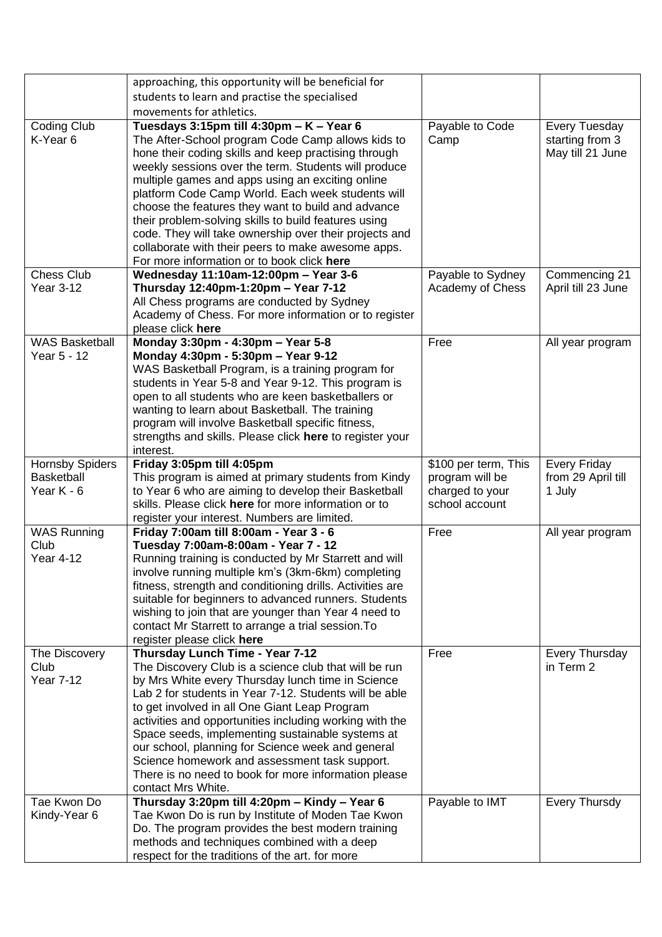|                            | approaching, this opportunity will be beneficial for                                                        |                      |                      |
|----------------------------|-------------------------------------------------------------------------------------------------------------|----------------------|----------------------|
|                            | students to learn and practise the specialised                                                              |                      |                      |
|                            | movements for athletics.                                                                                    |                      |                      |
| Coding Club                | Tuesdays 3:15pm till 4:30pm - $K - Year 6$                                                                  | Payable to Code      | Every Tuesday        |
| K-Year 6                   | The After-School program Code Camp allows kids to                                                           | Camp                 | starting from 3      |
|                            | hone their coding skills and keep practising through                                                        |                      | May till 21 June     |
|                            | weekly sessions over the term. Students will produce                                                        |                      |                      |
|                            | multiple games and apps using an exciting online                                                            |                      |                      |
|                            | platform Code Camp World. Each week students will                                                           |                      |                      |
|                            | choose the features they want to build and advance                                                          |                      |                      |
|                            | their problem-solving skills to build features using                                                        |                      |                      |
|                            | code. They will take ownership over their projects and                                                      |                      |                      |
|                            | collaborate with their peers to make awesome apps.                                                          |                      |                      |
|                            | For more information or to book click here                                                                  |                      |                      |
| <b>Chess Club</b>          | Wednesday 11:10am-12:00pm - Year 3-6                                                                        | Payable to Sydney    | Commencing 21        |
| <b>Year 3-12</b>           | Thursday 12:40pm-1:20pm - Year 7-12                                                                         | Academy of Chess     | April till 23 June   |
|                            | All Chess programs are conducted by Sydney                                                                  |                      |                      |
|                            | Academy of Chess. For more information or to register                                                       |                      |                      |
|                            | please click here                                                                                           |                      |                      |
| <b>WAS Basketball</b>      | Monday 3:30pm - 4:30pm - Year 5-8                                                                           | Free                 | All year program     |
| Year 5 - 12                | Monday 4:30pm - 5:30pm - Year 9-12                                                                          |                      |                      |
|                            | WAS Basketball Program, is a training program for                                                           |                      |                      |
|                            | students in Year 5-8 and Year 9-12. This program is                                                         |                      |                      |
|                            | open to all students who are keen basketballers or                                                          |                      |                      |
|                            | wanting to learn about Basketball. The training                                                             |                      |                      |
|                            | program will involve Basketball specific fitness,                                                           |                      |                      |
|                            | strengths and skills. Please click here to register your                                                    |                      |                      |
|                            | interest.                                                                                                   |                      |                      |
| <b>Hornsby Spiders</b>     | Friday 3:05pm till 4:05pm                                                                                   | \$100 per term, This | <b>Every Friday</b>  |
| Basketball                 | This program is aimed at primary students from Kindy                                                        | program will be      | from 29 April till   |
| Year $K - 6$               | to Year 6 who are aiming to develop their Basketball                                                        | charged to your      | 1 July               |
|                            | skills. Please click here for more information or to                                                        | school account       |                      |
|                            | register your interest. Numbers are limited.                                                                |                      |                      |
| <b>WAS Running</b><br>Club | Friday 7:00am till 8:00am - Year 3 - 6<br>Tuesday 7:00am-8:00am - Year 7 - 12                               | Free                 | All year program     |
| Year 4-12                  |                                                                                                             |                      |                      |
|                            | Running training is conducted by Mr Starrett and will<br>involve running multiple km's (3km-6km) completing |                      |                      |
|                            | fitness, strength and conditioning drills. Activities are                                                   |                      |                      |
|                            | suitable for beginners to advanced runners. Students                                                        |                      |                      |
|                            | wishing to join that are younger than Year 4 need to                                                        |                      |                      |
|                            | contact Mr Starrett to arrange a trial session. To                                                          |                      |                      |
|                            | register please click here                                                                                  |                      |                      |
| The Discovery              | Thursday Lunch Time - Year 7-12                                                                             | Free                 | Every Thursday       |
| Club                       | The Discovery Club is a science club that will be run                                                       |                      | in Term 2            |
| <b>Year 7-12</b>           | by Mrs White every Thursday lunch time in Science                                                           |                      |                      |
|                            | Lab 2 for students in Year 7-12. Students will be able                                                      |                      |                      |
|                            | to get involved in all One Giant Leap Program                                                               |                      |                      |
|                            | activities and opportunities including working with the                                                     |                      |                      |
|                            | Space seeds, implementing sustainable systems at                                                            |                      |                      |
|                            | our school, planning for Science week and general                                                           |                      |                      |
|                            | Science homework and assessment task support.                                                               |                      |                      |
|                            | There is no need to book for more information please                                                        |                      |                      |
|                            | contact Mrs White.                                                                                          |                      |                      |
| Tae Kwon Do                | Thursday 3:20pm till 4:20pm - Kindy - Year 6                                                                | Payable to IMT       | <b>Every Thursdy</b> |
| Kindy-Year 6               | Tae Kwon Do is run by Institute of Moden Tae Kwon                                                           |                      |                      |
|                            | Do. The program provides the best modern training                                                           |                      |                      |
|                            | methods and techniques combined with a deep                                                                 |                      |                      |
|                            | respect for the traditions of the art. for more                                                             |                      |                      |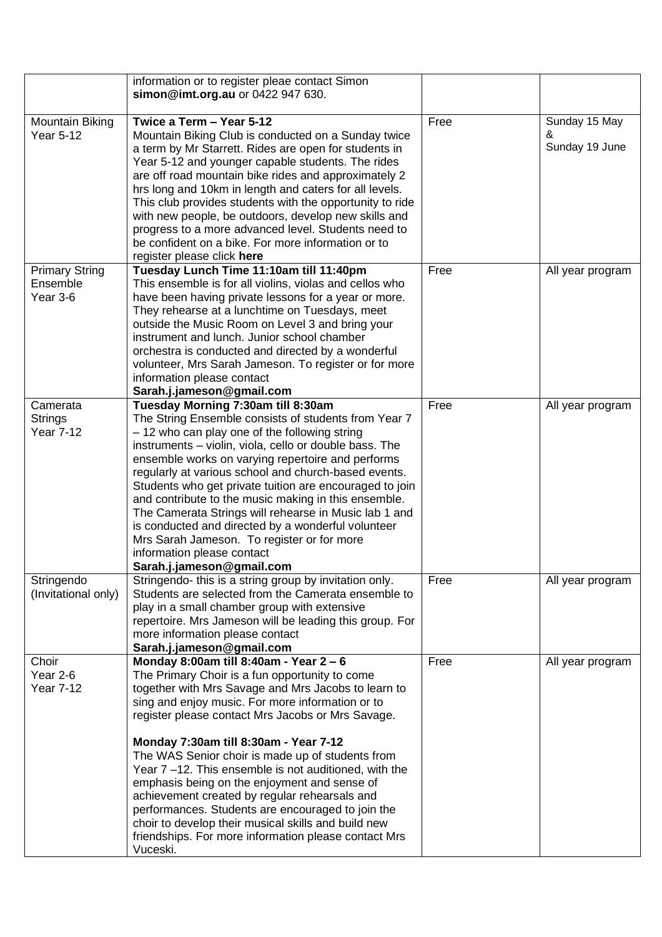|                                               | information or to register pleae contact Simon<br>simon@imt.org.au or 0422 947 630.                                                                                                                                                                                                                                                                                                                                                                                                                                                                                                                                                                           |      |                                      |
|-----------------------------------------------|---------------------------------------------------------------------------------------------------------------------------------------------------------------------------------------------------------------------------------------------------------------------------------------------------------------------------------------------------------------------------------------------------------------------------------------------------------------------------------------------------------------------------------------------------------------------------------------------------------------------------------------------------------------|------|--------------------------------------|
| Mountain Biking<br><b>Year 5-12</b>           | Twice a Term - Year 5-12<br>Mountain Biking Club is conducted on a Sunday twice<br>a term by Mr Starrett. Rides are open for students in<br>Year 5-12 and younger capable students. The rides<br>are off road mountain bike rides and approximately 2<br>hrs long and 10km in length and caters for all levels.<br>This club provides students with the opportunity to ride<br>with new people, be outdoors, develop new skills and<br>progress to a more advanced level. Students need to<br>be confident on a bike. For more information or to<br>register please click here                                                                                | Free | Sunday 15 May<br>&<br>Sunday 19 June |
| <b>Primary String</b><br>Ensemble<br>Year 3-6 | Tuesday Lunch Time 11:10am till 11:40pm<br>This ensemble is for all violins, violas and cellos who<br>have been having private lessons for a year or more.<br>They rehearse at a lunchtime on Tuesdays, meet<br>outside the Music Room on Level 3 and bring your<br>instrument and lunch. Junior school chamber<br>orchestra is conducted and directed by a wonderful<br>volunteer, Mrs Sarah Jameson. To register or for more<br>information please contact<br>Sarah.j.jameson@gmail.com                                                                                                                                                                     | Free | All year program                     |
| Camerata<br>Strings<br><b>Year 7-12</b>       | Tuesday Morning 7:30am till 8:30am<br>The String Ensemble consists of students from Year 7<br>- 12 who can play one of the following string<br>instruments - violin, viola, cello or double bass. The<br>ensemble works on varying repertoire and performs<br>regularly at various school and church-based events.<br>Students who get private tuition are encouraged to join<br>and contribute to the music making in this ensemble.<br>The Camerata Strings will rehearse in Music lab 1 and<br>is conducted and directed by a wonderful volunteer<br>Mrs Sarah Jameson. To register or for more<br>information please contact<br>Sarah.j.jameson@gmail.com | Free | All year program                     |
| Stringendo<br>(Invitational only)             | Stringendo- this is a string group by invitation only.<br>Students are selected from the Camerata ensemble to<br>play in a small chamber group with extensive<br>repertoire. Mrs Jameson will be leading this group. For<br>more information please contact<br>Sarah.j.jameson@gmail.com                                                                                                                                                                                                                                                                                                                                                                      | Free | All year program                     |
| Choir<br>Year 2-6<br><b>Year 7-12</b>         | Monday 8:00am till 8:40am - Year 2 - 6<br>The Primary Choir is a fun opportunity to come<br>together with Mrs Savage and Mrs Jacobs to learn to<br>sing and enjoy music. For more information or to<br>register please contact Mrs Jacobs or Mrs Savage.                                                                                                                                                                                                                                                                                                                                                                                                      | Free | All year program                     |
|                                               | Monday 7:30am till 8:30am - Year 7-12<br>The WAS Senior choir is made up of students from<br>Year 7-12. This ensemble is not auditioned, with the<br>emphasis being on the enjoyment and sense of<br>achievement created by regular rehearsals and<br>performances. Students are encouraged to join the<br>choir to develop their musical skills and build new<br>friendships. For more information please contact Mrs<br>Vuceski.                                                                                                                                                                                                                            |      |                                      |